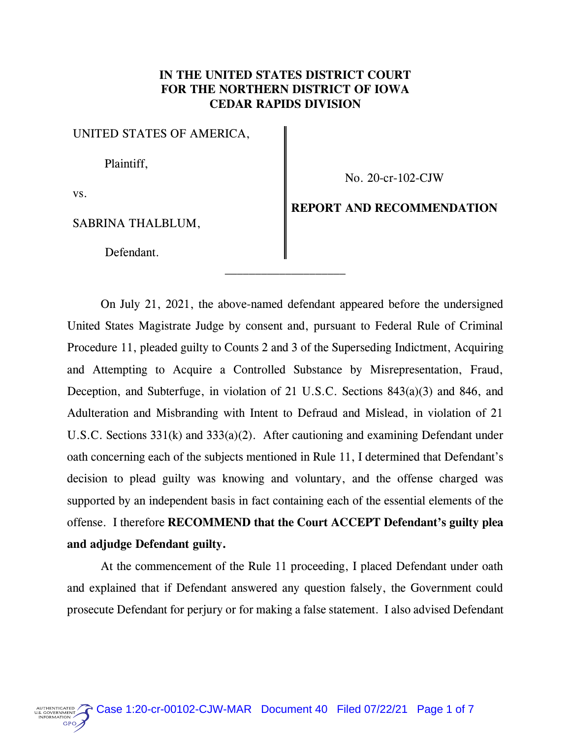# **IN THE UNITED STATES DISTRICT COURT FOR THE NORTHERN DISTRICT OF IOWA CEDAR RAPIDS DIVISION**

*UNITED STATES OF AMERICA,*

*Plaintiff,*

*No. 20-cr-102-CJW*

*vs.*

GPO.

*SABRINA THALBLUM,*

 *Defendant.*

**REPORT AND RECOMMENDATION**

*On July 21, 2021, the above-named defendant appeared before the undersigned United States Magistrate Judge by consent and, pursuant to Federal Rule of Criminal Procedure 11, pleaded guilty to Counts 2 and 3 of the Superseding Indictment, Acquiring and Attempting to Acquire a Controlled Substance by Misrepresentation, Fraud, Deception, and Subterfuge, in violation of 21 U.S.C. Sections 843(a)(3) and 846, and Adulteration and Misbranding with Intent to Defraud and Mislead, in violation of 21*  U.S.C. Sections 331(k) and 333(a)(2). After cautioning and examining Defendant under *oath concerning each of the subjects mentioned in Rule 11, I determined that Defendant's decision to plead guilty was knowing and voluntary, and the offense charged was supported by an independent basis in fact containing each of the essential elements of the offense. I therefore* **RECOMMEND that the Court ACCEPT Defendant's guilty plea and adjudge Defendant guilty.**

*At the commencement of the Rule 11 proceeding, I placed Defendant under oath and explained that if Defendant answered any question falsely, the Government could prosecute Defendant for perjury or for making a false statement. I also advised Defendant*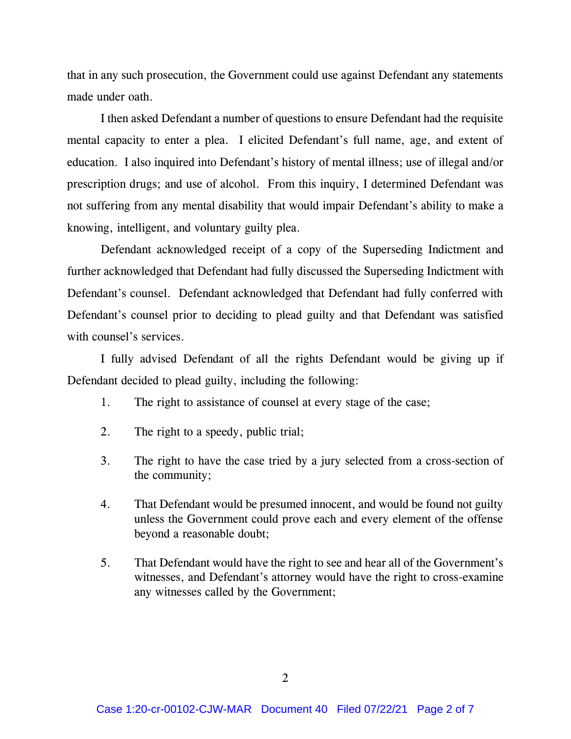*that in any such prosecution, the Government could use against Defendant any statements made under oath.*

*I then asked Defendant a number of questions to ensure Defendant had the requisite mental capacity to enter a plea.* I elicited Defendant's full name, age, and extent of *education. I also inquired into Defendant's history of mental illness; use of illegal and/or prescription drugs; and use of alcohol. From this inquiry, I determined Defendant was not suffering from any mental disability that would impair Defendant's ability to make a knowing, intelligent, and voluntary guilty plea.*

*Defendant acknowledged receipt of a copy of the Superseding Indictment and further acknowledged that Defendant had fully discussed the Superseding Indictment with Defendant's counsel. Defendant acknowledged that Defendant had fully conferred with Defendant's counsel prior to deciding to plead guilty and that Defendant was satisfied with counsel's services.* 

*I fully advised Defendant of all the rights Defendant would be giving up if Defendant decided to plead guilty, including the following:*

- *1. The right to assistance of counsel at every stage of the case;*
- *2. The right to a speedy, public trial;*
- *3. The right to have the case tried by a jury selected from a cross-section of the community;*
- *4. That Defendant would be presumed innocent, and would be found not guilty unless the Government could prove each and every element of the offense beyond a reasonable doubt;*
- *5. That Defendant would have the right to see and hear all of the Government's witnesses, and Defendant's attorney would have the right to cross-examine any witnesses called by the Government;*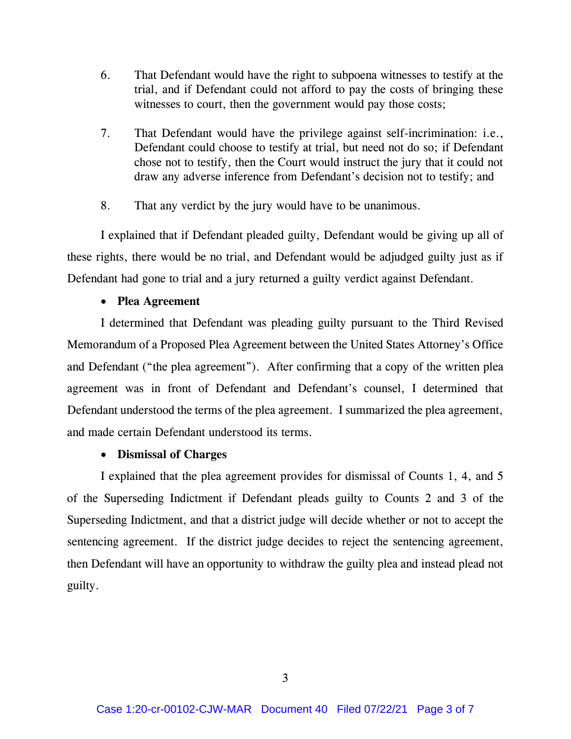- *6. That Defendant would have the right to subpoena witnesses to testify at the trial, and if Defendant could not afford to pay the costs of bringing these witnesses to court, then the government would pay those costs;*
- *7. That Defendant would have the privilege against self-incrimination: i.e., Defendant could choose to testify at trial, but need not do so; if Defendant chose not to testify, then the Court would instruct the jury that it could not draw any adverse inference from Defendant's decision not to testify; and*
- *8. That any verdict by the jury would have to be unanimous.*

*I explained that if Defendant pleaded guilty, Defendant would be giving up all of these rights, there would be no trial, and Defendant would be adjudged guilty just as if Defendant had gone to trial and a jury returned a guilty verdict against Defendant.*

## • **Plea Agreement**

*I determined that Defendant was pleading guilty pursuant to the Third Revised Memorandum of a Proposed Plea Agreement between the United States Attorney's Office and Defendant ("the plea agreement"). After confirming that a copy of the written plea agreement was in front of Defendant and Defendant's counsel, I determined that Defendant understood the terms of the plea agreement. I summarized the plea agreement, and made certain Defendant understood its terms.* 

# • **Dismissal of Charges**

*I explained that the plea agreement provides for dismissal of Counts 1, 4, and 5 of the Superseding Indictment if Defendant pleads guilty to Counts 2 and 3 of the Superseding Indictment, and that a district judge will decide whether or not to accept the sentencing agreement. If the district judge decides to reject the sentencing agreement, then Defendant will have an opportunity to withdraw the guilty plea and instead plead not guilty.*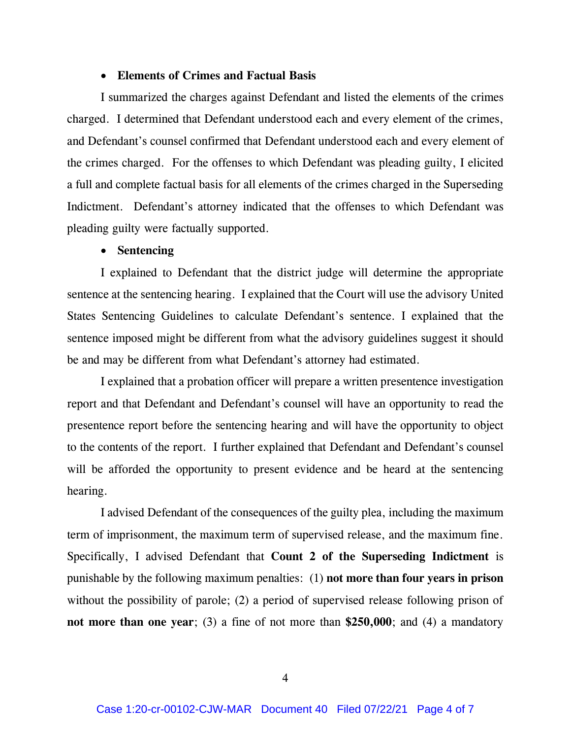#### • **Elements of Crimes and Factual Basis**

*I summarized the charges against Defendant and listed the elements of the crimes charged. I determined that Defendant understood each and every element of the crimes, and Defendant's counsel confirmed that Defendant understood each and every element of the crimes charged. For the offenses to which Defendant was pleading guilty, I elicited a full and complete factual basis for all elements of the crimes charged in the Superseding Indictment. Defendant's attorney indicated that the offenses to which Defendant was pleading guilty were factually supported.*

## • **Sentencing**

*I explained to Defendant that the district judge will determine the appropriate sentence at the sentencing hearing. I explained that the Court will use the advisory United States Sentencing Guidelines to calculate Defendant's sentence. I explained that the sentence imposed might be different from what the advisory guidelines suggest it should be and may be different from what Defendant's attorney had estimated.*

*I explained that a probation officer will prepare a written presentence investigation report and that Defendant and Defendant's counsel will have an opportunity to read the presentence report before the sentencing hearing and will have the opportunity to object to the contents of the report. I further explained that Defendant and Defendant's counsel*  will be afforded the opportunity to present evidence and be heard at the sentencing *hearing.*

*I advised Defendant of the consequences of the guilty plea, including the maximum term of imprisonment, the maximum term of supervised release, and the maximum fine. Specifically, I advised Defendant that* **Count 2 of the Superseding Indictment** *is punishable by the following maximum penalties: (1)* **not more than four years in prison**  *without the possibility of parole; (2) a period of supervised release following prison of* **not more than one year***; (3) a fine of not more than* **\$250,000***; and (4) a mandatory*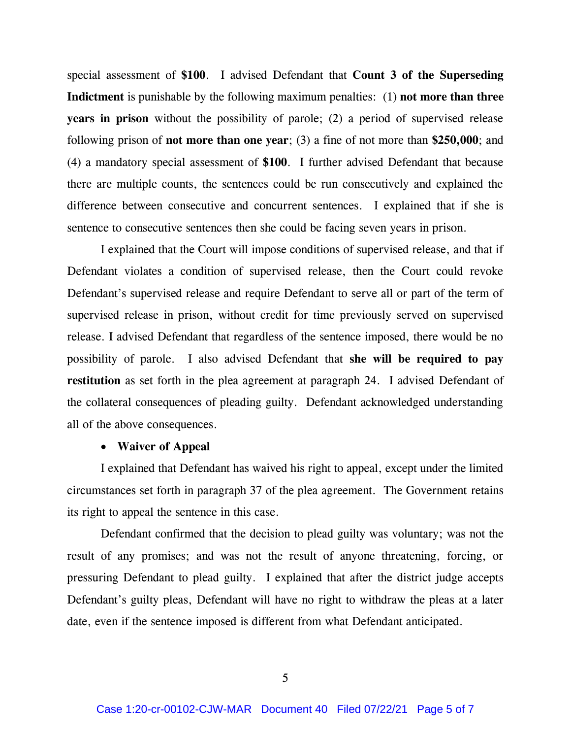*special assessment of* **\$100***. I advised Defendant that* **Count 3 of the Superseding Indictment** *is punishable by the following maximum penalties: (1)* **not more than three years in prison** *without the possibility of parole; (2) a period of supervised release following prison of* **not more than one year***; (3) a fine of not more than* **\$250,000***; and (4) a mandatory special assessment of* **\$100***. I further advised Defendant that because there are multiple counts, the sentences could be run consecutively and explained the difference between consecutive and concurrent sentences. I explained that if she is sentence to consecutive sentences then she could be facing seven years in prison.* 

I explained that the Court will impose conditions of supervised release, and that if *Defendant violates a condition of supervised release, then the Court could revoke*  Defendant's supervised release and require Defendant to serve all or part of the term of *supervised release in prison, without credit for time previously served on supervised*  release. I advised Defendant that regardless of the sentence imposed, there would be no *possibility of parole. I also advised Defendant that* **she will be required to pay restitution** *as set forth in the plea agreement at paragraph 24. I advised Defendant of*  the collateral consequences of pleading guilty. Defendant acknowledged understanding *all of the above consequences.*

## • **Waiver of Appeal**

*I explained that Defendant has waived his right to appeal, except under the limited circumstances set forth in paragraph 37 of the plea agreement. The Government retains its right to appeal the sentence in this case.*

*Defendant confirmed that the decision to plead guilty was voluntary; was not the*  result of any promises; and was not the result of anyone threatening, forcing, or *pressuring Defendant to plead guilty. I explained that after the district judge accepts Defendant's guilty pleas, Defendant will have no right to withdraw the pleas at a later date, even if the sentence imposed is different from what Defendant anticipated.*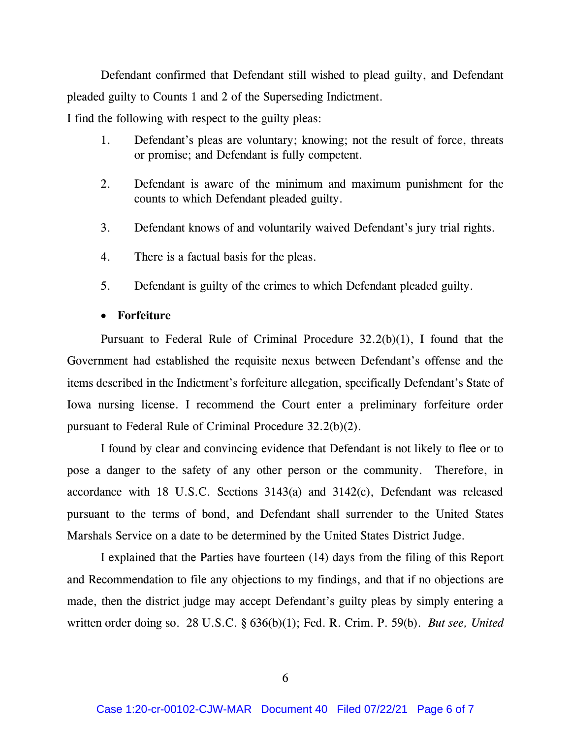*Defendant confirmed that Defendant still wished to plead guilty, and Defendant pleaded guilty to Counts 1 and 2 of the Superseding Indictment.*

*I find the following with respect to the guilty pleas:*

- *1. Defendant's pleas are voluntary; knowing; not the result of force, threats or promise; and Defendant is fully competent.*
- *2. Defendant is aware of the minimum and maximum punishment for the counts to which Defendant pleaded guilty.*
- *3. Defendant knows of and voluntarily waived Defendant's jury trial rights.*
- *4. There is a factual basis for the pleas.*
- *5. Defendant is guilty of the crimes to which Defendant pleaded guilty.*

# • **Forfeiture**

*Pursuant to Federal Rule of Criminal Procedure 32.2(b)(1), I found that the Government had established the requisite nexus between Defendant's offense and the items described in the Indictment's forfeiture allegation, specifically Defendant's State of*  Iowa nursing license. I recommend the Court enter a preliminary forfeiture order *pursuant to Federal Rule of Criminal Procedure 32.2(b)(2).*

I found by clear and convincing evidence that Defendant is not likely to flee or to pose a danger to the safety of any other person or the community. Therefore, in *accordance with 18 U.S.C. Sections 3143(a) and 3142(c), Defendant was released pursuant to the terms of bond, and Defendant shall surrender to the United States Marshals Service on a date to be determined by the United States District Judge.*

*I explained that the Parties have fourteen (14) days from the filing of this Report and Recommendation to file any objections to my findings, and that if no objections are made, then the district judge may accept Defendant's guilty pleas by simply entering a written order doing so. 28 U.S.C. § 636(b)(1); Fed. R. Crim. P. 59(b). But see, United*